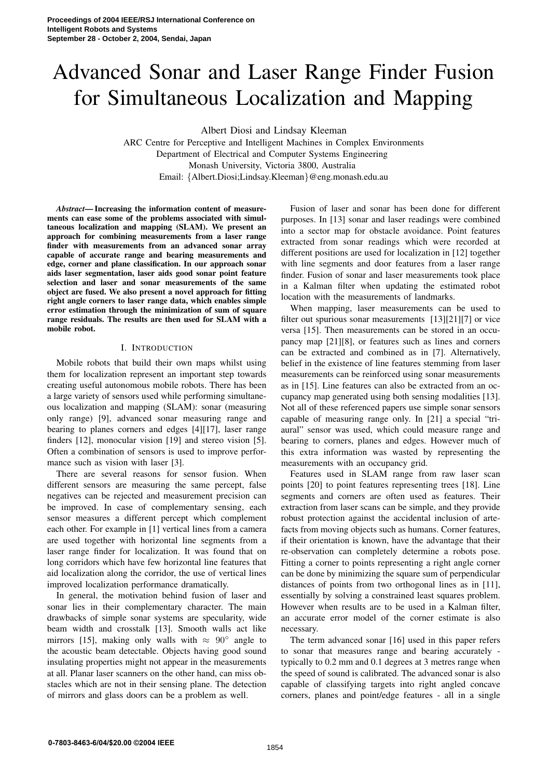# Advanced Sonar and Laser Range Finder Fusion for Simultaneous Localization and Mapping

Albert Diosi and Lindsay Kleeman

ARC Centre for Perceptive and Intelligent Machines in Complex Environments Department of Electrical and Computer Systems Engineering Monash University, Victoria 3800, Australia Email: {Albert.Diosi;Lindsay.Kleeman}@eng.monash.edu.au

*Abstract***— Increasing the information content of measurements can ease some of the problems associated with simultaneous localization and mapping (SLAM). We present an approach for combining measurements from a laser range finder with measurements from an advanced sonar array capable of accurate range and bearing measurements and edge, corner and plane classification. In our approach sonar aids laser segmentation, laser aids good sonar point feature selection and laser and sonar measurements of the same object are fused. We also present a novel approach for fitting right angle corners to laser range data, which enables simple error estimation through the minimization of sum of square range residuals. The results are then used for SLAM with a mobile robot.**

## I. INTRODUCTION

Mobile robots that build their own maps whilst using them for localization represent an important step towards creating useful autonomous mobile robots. There has been a large variety of sensors used while performing simultaneous localization and mapping (SLAM): sonar (measuring only range) [9], advanced sonar measuring range and bearing to planes corners and edges [4][17], laser range finders [12], monocular vision [19] and stereo vision [5]. Often a combination of sensors is used to improve performance such as vision with laser [3].

There are several reasons for sensor fusion. When different sensors are measuring the same percept, false negatives can be rejected and measurement precision can be improved. In case of complementary sensing, each sensor measures a different percept which complement each other. For example in [1] vertical lines from a camera are used together with horizontal line segments from a laser range finder for localization. It was found that on long corridors which have few horizontal line features that aid localization along the corridor, the use of vertical lines improved localization performance dramatically.

In general, the motivation behind fusion of laser and sonar lies in their complementary character. The main drawbacks of simple sonar systems are specularity, wide beam width and crosstalk [13]. Smooth walls act like mirrors [15], making only walls with  $\approx 90^\circ$  angle to the acoustic beam detectable. Objects having good sound insulating properties might not appear in the measurements at all. Planar laser scanners on the other hand, can miss obstacles which are not in their sensing plane. The detection of mirrors and glass doors can be a problem as well.

Fusion of laser and sonar has been done for different purposes. In [13] sonar and laser readings were combined into a sector map for obstacle avoidance. Point features extracted from sonar readings which were recorded at different positions are used for localization in [12] together with line segments and door features from a laser range finder. Fusion of sonar and laser measurements took place in a Kalman filter when updating the estimated robot location with the measurements of landmarks.

When mapping, laser measurements can be used to filter out spurious sonar measurements [13][21][7] or vice versa [15]. Then measurements can be stored in an occupancy map [21][8], or features such as lines and corners can be extracted and combined as in [7]. Alternatively, belief in the existence of line features stemming from laser measurements can be reinforced using sonar measurements as in [15]. Line features can also be extracted from an occupancy map generated using both sensing modalities [13]. Not all of these referenced papers use simple sonar sensors capable of measuring range only. In [21] a special "triaural" sensor was used, which could measure range and bearing to corners, planes and edges. However much of this extra information was wasted by representing the measurements with an occupancy grid.

Features used in SLAM range from raw laser scan points [20] to point features representing trees [18]. Line segments and corners are often used as features. Their extraction from laser scans can be simple, and they provide robust protection against the accidental inclusion of artefacts from moving objects such as humans. Corner features, if their orientation is known, have the advantage that their re-observation can completely determine a robots pose. Fitting a corner to points representing a right angle corner can be done by minimizing the square sum of perpendicular distances of points from two orthogonal lines as in [11], essentially by solving a constrained least squares problem. However when results are to be used in a Kalman filter, an accurate error model of the corner estimate is also necessary.

The term advanced sonar [16] used in this paper refers to sonar that measures range and bearing accurately typically to 0.2 mm and 0.1 degrees at 3 metres range when the speed of sound is calibrated. The advanced sonar is also capable of classifying targets into right angled concave corners, planes and point/edge features - all in a single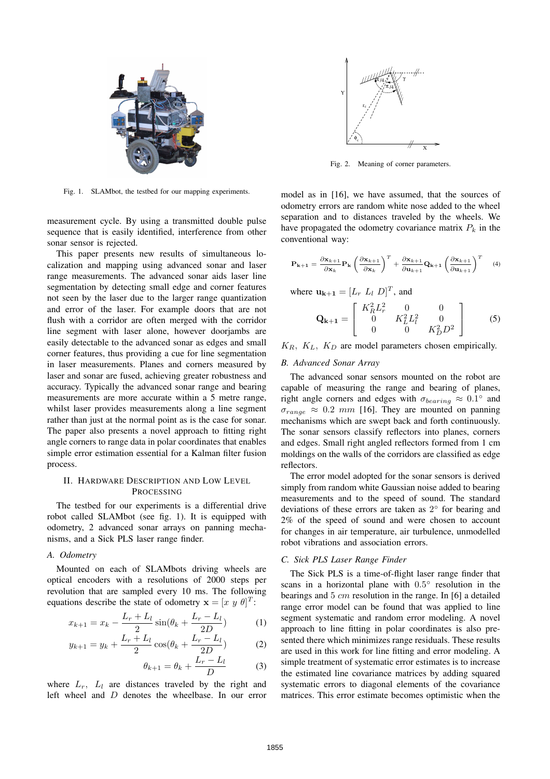

Fig. 1. SLAMbot, the testbed for our mapping experiments.

measurement cycle. By using a transmitted double pulse sequence that is easily identified, interference from other sonar sensor is rejected.

This paper presents new results of simultaneous localization and mapping using advanced sonar and laser range measurements. The advanced sonar aids laser line segmentation by detecting small edge and corner features not seen by the laser due to the larger range quantization and error of the laser. For example doors that are not flush with a corridor are often merged with the corridor line segment with laser alone, however doorjambs are easily detectable to the advanced sonar as edges and small corner features, thus providing a cue for line segmentation in laser measurements. Planes and corners measured by laser and sonar are fused, achieving greater robustness and accuracy. Typically the advanced sonar range and bearing measurements are more accurate within a 5 metre range, whilst laser provides measurements along a line segment rather than just at the normal point as is the case for sonar. The paper also presents a novel approach to fitting right angle corners to range data in polar coordinates that enables simple error estimation essential for a Kalman filter fusion process.

## II. HARDWARE DESCRIPTION AND LOW LEVEL **PROCESSING**

The testbed for our experiments is a differential drive robot called SLAMbot (see fig. 1). It is equipped with odometry, 2 advanced sonar arrays on panning mechanisms, and a Sick PLS laser range finder.

### *A. Odometry*

Mounted on each of SLAMbots driving wheels are optical encoders with a resolutions of 2000 steps per revolution that are sampled every 10 ms. The following equations describe the state of odometry  $\mathbf{x} = [x \ y \ \theta]^T$ :

$$
x_{k+1} = x_k - \frac{L_r + L_l}{2} \sin(\theta_k + \frac{L_r - L_l}{2D})
$$
 (1)

$$
y_{k+1} = y_k + \frac{L_r + L_l}{2} \cos(\theta_k + \frac{L_r - L_l}{2D})
$$
 (2)

$$
\theta_{k+1} = \theta_k + \frac{L_r - L_l}{D} \tag{3}
$$

where  $L_r$ ,  $L_l$  are distances traveled by the right and left wheel and D denotes the wheelbase. In our error



Fig. 2. Meaning of corner parameters.

model as in [16], we have assumed, that the sources of odometry errors are random white nose added to the wheel separation and to distances traveled by the wheels. We have propagated the odometry covariance matrix  $P_k$  in the conventional way:

$$
\mathbf{P}_{k+1} = \frac{\partial \mathbf{x}_{k+1}}{\partial \mathbf{x}_k} \mathbf{P}_k \left( \frac{\partial \mathbf{x}_{k+1}}{\partial \mathbf{x}_k} \right)^T + \frac{\partial \mathbf{x}_{k+1}}{\partial \mathbf{u}_{k+1}} \mathbf{Q}_{k+1} \left( \frac{\partial \mathbf{x}_{k+1}}{\partial \mathbf{u}_{k+1}} \right)^T \tag{4}
$$

where 
$$
\mathbf{u}_{k+1} = [L_r L_l D]^T
$$
, and

$$
\mathbf{Q_{k+1}} = \begin{bmatrix} K_R^2 L_r^2 & 0 & 0 \\ 0 & K_L^2 L_l^2 & 0 \\ 0 & 0 & K_D^2 D^2 \end{bmatrix}
$$
 (5)

 $K_R$ ,  $K_L$ ,  $K_D$  are model parameters chosen empirically.

## *B. Advanced Sonar Array*

The advanced sonar sensors mounted on the robot are capable of measuring the range and bearing of planes, right angle corners and edges with  $\sigma_{bearing} \approx 0.1^{\circ}$  and  $\sigma_{range} \approx 0.2$  mm [16]. They are mounted on panning mechanisms which are swept back and forth continuously. The sonar sensors classify reflectors into planes, corners and edges. Small right angled reflectors formed from 1 cm moldings on the walls of the corridors are classified as edge reflectors.

The error model adopted for the sonar sensors is derived simply from random white Gaussian noise added to bearing measurements and to the speed of sound. The standard deviations of these errors are taken as  $2^{\circ}$  for bearing and 2% of the speed of sound and were chosen to account for changes in air temperature, air turbulence, unmodelled robot vibrations and association errors.

#### *C. Sick PLS Laser Range Finder*

The Sick PLS is a time-of-flight laser range finder that scans in a horizontal plane with  $0.5^{\circ}$  resolution in the bearings and  $5 \, \text{cm}$  resolution in the range. In [6] a detailed range error model can be found that was applied to line segment systematic and random error modeling. A novel approach to line fitting in polar coordinates is also presented there which minimizes range residuals. These results are used in this work for line fitting and error modeling. A simple treatment of systematic error estimates is to increase the estimated line covariance matrices by adding squared systematic errors to diagonal elements of the covariance matrices. This error estimate becomes optimistic when the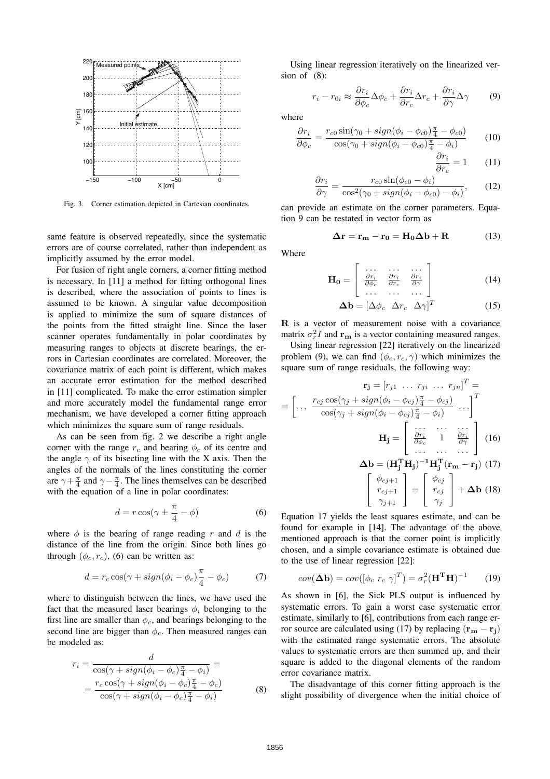

Fig. 3. Corner estimation depicted in Cartesian coordinates.

same feature is observed repeatedly, since the systematic errors are of course correlated, rather than independent as implicitly assumed by the error model.

For fusion of right angle corners, a corner fitting method is necessary. In [11] a method for fitting orthogonal lines is described, where the association of points to lines is assumed to be known. A singular value decomposition is applied to minimize the sum of square distances of the points from the fitted straight line. Since the laser scanner operates fundamentally in polar coordinates by measuring ranges to objects at discrete bearings, the errors in Cartesian coordinates are correlated. Moreover, the covariance matrix of each point is different, which makes an accurate error estimation for the method described in [11] complicated. To make the error estimation simpler and more accurately model the fundamental range error mechanism, we have developed a corner fitting approach which minimizes the square sum of range residuals.

As can be seen from fig. 2 we describe a right angle corner with the range  $r_c$  and bearing  $\phi_c$  of its centre and the angle  $\gamma$  of its bisecting line with the X axis. Then the angles of the normals of the lines constituting the corner are  $\gamma + \frac{\pi}{4}$  and  $\gamma - \frac{\pi}{4}$ . The lines themselves can be described with the equation of a line in polar coordinates:

$$
d = r \cos(\gamma \pm \frac{\pi}{4} - \phi) \tag{6}
$$

where  $\phi$  is the bearing of range reading r and d is the distance of the line from the origin. Since both lines go through  $(\phi_c, r_c)$ , (6) can be written as:

$$
d = r_c \cos(\gamma + sign(\phi_i - \phi_c)\frac{\pi}{4} - \phi_c)
$$
 (7)

where to distinguish between the lines, we have used the fact that the measured laser bearings  $\phi_i$  belonging to the first line are smaller than  $\phi_c$ , and bearings belonging to the second line are bigger than  $\phi_c$ . Then measured ranges can be modeled as:

$$
r_i = \frac{d}{\cos(\gamma + sign(\phi_i - \phi_c)\frac{\pi}{4} - \phi_i)} =
$$
  
= 
$$
\frac{r_c \cos(\gamma + sign(\phi_i - \phi_c)\frac{\pi}{4} - \phi_c)}{\cos(\gamma + sign(\phi_i - \phi_c)\frac{\pi}{4} - \phi_i)}
$$
(8)

Using linear regression iteratively on the linearized version of (8):

$$
r_i - r_{0i} \approx \frac{\partial r_i}{\partial \phi_c} \Delta \phi_c + \frac{\partial r_i}{\partial r_c} \Delta r_c + \frac{\partial r_i}{\partial \gamma} \Delta \gamma \tag{9}
$$

where

$$
\frac{\partial r_i}{\partial \phi_c} = \frac{r_{c0} \sin(\gamma_0 + sign(\phi_i - \phi_{c0})\frac{\pi}{4} - \phi_{c0})}{\cos(\gamma_0 + sign(\phi_i - \phi_{c0})\frac{\pi}{4} - \phi_i)}\tag{10}
$$

$$
\frac{\partial r_i}{\partial r_c} = 1 \qquad (11)
$$

$$
\frac{\partial r_i}{\partial \gamma} = \frac{r_{c0} \sin(\phi_{c0} - \phi_i)}{\cos^2(\gamma_0 + sign(\phi_i - \phi_{c0}) - \phi_i)},\qquad(12)
$$

can provide an estimate on the corner parameters. Equation 9 can be restated in vector form as

$$
\Delta \mathbf{r} = \mathbf{r}_{\mathbf{m}} - \mathbf{r}_{0} = \mathbf{H}_{0} \Delta \mathbf{b} + \mathbf{R}
$$
 (13)

Where

$$
\mathbf{H_0} = \left[ \begin{array}{ccc} \dots & \dots & \dots \\ \frac{\partial r_i}{\partial \phi_c} & \frac{\partial r_i}{\partial r_c} & \frac{\partial r_i}{\partial \gamma} \\ \dots & \dots & \dots \end{array} \right] \tag{14}
$$

$$
\Delta \mathbf{b} = \begin{bmatrix} \Delta \phi_c & \Delta r_c & \Delta \gamma \end{bmatrix}^T \tag{15}
$$

R is a vector of measurement noise with a covariance matrix  $\sigma_r^2 I$  and  $\mathbf{r}_{\mathbf{m}}$  is a vector containing measured ranges.

Using linear regression [22] iteratively on the linearized problem (9), we can find  $(\phi_c, r_c, \gamma)$  which minimizes the square sum of range residuals, the following way:

$$
\mathbf{r}_{\mathbf{j}} = [r_{j1} \ \dots \ r_{ji} \ \dots \ r_{jn}]^{T} =
$$
\n
$$
= \begin{bmatrix} \dots & \frac{r_{cj} \cos(\gamma_j + \text{sign}(\phi_i - \phi_{cj}) \frac{\pi}{4} - \phi_{cj})}{\cos(\gamma_j + \text{sign}(\phi_i - \phi_{cj}) \frac{\pi}{4} - \phi_i)} \ \dots \end{bmatrix}^{T}
$$
\n
$$
\mathbf{H}_{\mathbf{j}} = \begin{bmatrix} \dots & \dots & \dots \\ \frac{\partial r_i}{\partial \phi_c} & 1 & \frac{\partial r_i}{\partial \gamma} \\ \dots & \dots & \dots \end{bmatrix} \quad (16)
$$
\n
$$
\Delta \mathbf{b} = (\mathbf{H}_{\mathbf{j}}^{\mathbf{T}} \mathbf{H}_{\mathbf{j}})^{-1} \mathbf{H}_{\mathbf{j}}^{\mathbf{T}} (\mathbf{r}_{\mathbf{m}} - \mathbf{r}_{\mathbf{j}}) \quad (17)
$$
\n
$$
\begin{bmatrix} \phi_{cj+1} \\ r_{cj+1} \\ \gamma_{j+1} \end{bmatrix} = \begin{bmatrix} \phi_{cj} \\ r_{cj} \\ \gamma_{j} \end{bmatrix} + \Delta \mathbf{b} \quad (18)
$$

Equation 17 yields the least squares estimate, and can be found for example in [14]. The advantage of the above mentioned approach is that the corner point is implicitly chosen, and a simple covariance estimate is obtained due to the use of linear regression [22]:

$$
cov(\mathbf{\Delta b}) = cov([\phi_c \ r_c \ \gamma]^T) = \sigma_r^2 (\mathbf{H}^T \mathbf{H})^{-1}
$$
 (19)

As shown in [6], the Sick PLS output is influenced by systematic errors. To gain a worst case systematic error estimate, similarly to [6], contributions from each range error source are calculated using (17) by replacing  $(\mathbf{r}_{\mathbf{m}} - \mathbf{r}_{\mathbf{j}})$ with the estimated range systematic errors. The absolute values to systematic errors are then summed up, and their square is added to the diagonal elements of the random error covariance matrix.

The disadvantage of this corner fitting approach is the slight possibility of divergence when the initial choice of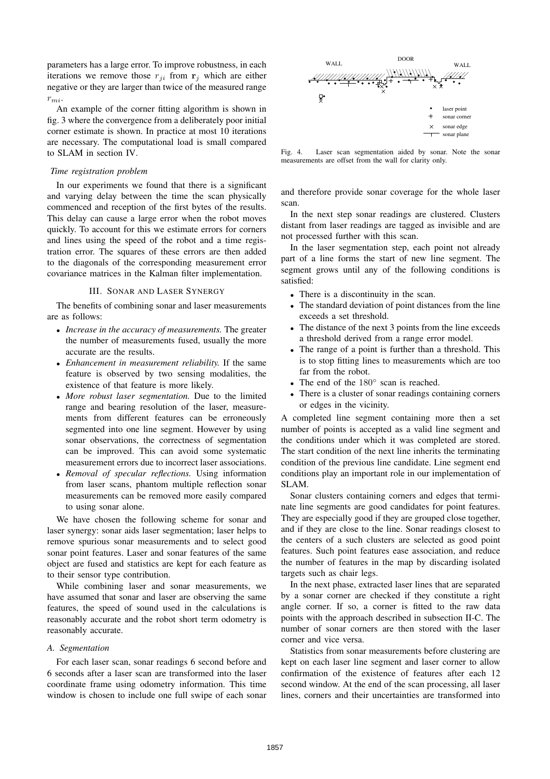parameters has a large error. To improve robustness, in each iterations we remove those  $r_{ii}$  from  $r_i$  which are either negative or they are larger than twice of the measured range  $r_{mi}$ .

An example of the corner fitting algorithm is shown in fig. 3 where the convergence from a deliberately poor initial corner estimate is shown. In practice at most 10 iterations are necessary. The computational load is small compared to SLAM in section IV.

## *Time registration problem*

In our experiments we found that there is a significant and varying delay between the time the scan physically commenced and reception of the first bytes of the results. This delay can cause a large error when the robot moves quickly. To account for this we estimate errors for corners and lines using the speed of the robot and a time registration error. The squares of these errors are then added to the diagonals of the corresponding measurement error covariance matrices in the Kalman filter implementation.

#### III. SONAR AND LASER SYNERGY

The benefits of combining sonar and laser measurements are as follows:

- *Increase in the accuracy of measurements.* The greater the number of measurements fused, usually the more accurate are the results.
- *Enhancement in measurement reliability.* If the same feature is observed by two sensing modalities, the existence of that feature is more likely.
- *More robust laser segmentation.* Due to the limited range and bearing resolution of the laser, measurements from different features can be erroneously segmented into one line segment. However by using sonar observations, the correctness of segmentation can be improved. This can avoid some systematic measurement errors due to incorrect laser associations.
- *Removal of specular reflections.* Using information from laser scans, phantom multiple reflection sonar measurements can be removed more easily compared to using sonar alone.

We have chosen the following scheme for sonar and laser synergy: sonar aids laser segmentation; laser helps to remove spurious sonar measurements and to select good sonar point features. Laser and sonar features of the same object are fused and statistics are kept for each feature as to their sensor type contribution.

While combining laser and sonar measurements, we have assumed that sonar and laser are observing the same features, the speed of sound used in the calculations is reasonably accurate and the robot short term odometry is reasonably accurate.

#### *A. Segmentation*

For each laser scan, sonar readings 6 second before and 6 seconds after a laser scan are transformed into the laser coordinate frame using odometry information. This time window is chosen to include one full swipe of each sonar



Fig. 4. Laser scan segmentation aided by sonar. Note the sonar measurements are offset from the wall for clarity only.

and therefore provide sonar coverage for the whole laser scan.

In the next step sonar readings are clustered. Clusters distant from laser readings are tagged as invisible and are not processed further with this scan.

In the laser segmentation step, each point not already part of a line forms the start of new line segment. The segment grows until any of the following conditions is satisfied:

- There is a discontinuity in the scan.
- The standard deviation of point distances from the line exceeds a set threshold.
- The distance of the next 3 points from the line exceeds a threshold derived from a range error model.
- The range of a point is further than a threshold. This is to stop fitting lines to measurements which are too far from the robot.
- The end of the 180° scan is reached.
- There is a cluster of sonar readings containing corners or edges in the vicinity.

A completed line segment containing more then a set number of points is accepted as a valid line segment and the conditions under which it was completed are stored. The start condition of the next line inherits the terminating condition of the previous line candidate. Line segment end conditions play an important role in our implementation of SLAM.

Sonar clusters containing corners and edges that terminate line segments are good candidates for point features. They are especially good if they are grouped close together, and if they are close to the line. Sonar readings closest to the centers of a such clusters are selected as good point features. Such point features ease association, and reduce the number of features in the map by discarding isolated targets such as chair legs.

In the next phase, extracted laser lines that are separated by a sonar corner are checked if they constitute a right angle corner. If so, a corner is fitted to the raw data points with the approach described in subsection II-C. The number of sonar corners are then stored with the laser corner and vice versa.

Statistics from sonar measurements before clustering are kept on each laser line segment and laser corner to allow confirmation of the existence of features after each 12 second window. At the end of the scan processing, all laser lines, corners and their uncertainties are transformed into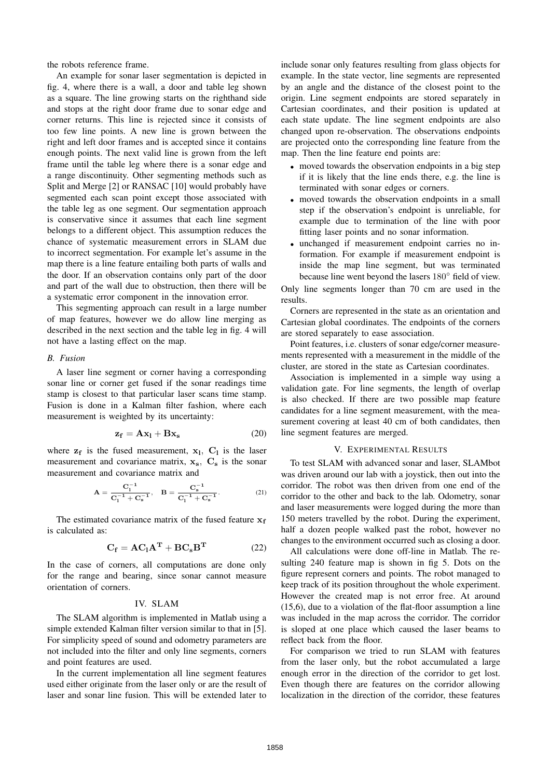the robots reference frame.

An example for sonar laser segmentation is depicted in fig. 4, where there is a wall, a door and table leg shown as a square. The line growing starts on the righthand side and stops at the right door frame due to sonar edge and corner returns. This line is rejected since it consists of too few line points. A new line is grown between the right and left door frames and is accepted since it contains enough points. The next valid line is grown from the left frame until the table leg where there is a sonar edge and a range discontinuity. Other segmenting methods such as Split and Merge [2] or RANSAC [10] would probably have segmented each scan point except those associated with the table leg as one segment. Our segmentation approach is conservative since it assumes that each line segment belongs to a different object. This assumption reduces the chance of systematic measurement errors in SLAM due to incorrect segmentation. For example let's assume in the map there is a line feature entailing both parts of walls and the door. If an observation contains only part of the door and part of the wall due to obstruction, then there will be a systematic error component in the innovation error.

This segmenting approach can result in a large number of map features, however we do allow line merging as described in the next section and the table leg in fig. 4 will not have a lasting effect on the map.

## *B. Fusion*

A laser line segment or corner having a corresponding sonar line or corner get fused if the sonar readings time stamp is closest to that particular laser scans time stamp. Fusion is done in a Kalman filter fashion, where each measurement is weighted by its uncertainty:

$$
z_f = Ax_l + Bx_s \tag{20}
$$

where  $z_f$  is the fused measurement,  $x_l$ ,  $C_l$  is the laser measurement and covariance matrix,  $x_s$ ,  $C_s$  is the sonar measurement and covariance matrix and

$$
A = \frac{C_1^{-1}}{C_1^{-1} + C_s^{-1}}, \quad B = \frac{C_s^{-1}}{C_1^{-1} + C_s^{-1}}.
$$
 (21)

The estimated covariance matrix of the fused feature  $x_f$ is calculated as:

$$
C_f = AC_lA^T + BC_sB^T \qquad (22)
$$

In the case of corners, all computations are done only for the range and bearing, since sonar cannot measure orientation of corners.

## IV. SLAM

The SLAM algorithm is implemented in Matlab using a simple extended Kalman filter version similar to that in [5]. For simplicity speed of sound and odometry parameters are not included into the filter and only line segments, corners and point features are used.

In the current implementation all line segment features used either originate from the laser only or are the result of laser and sonar line fusion. This will be extended later to

include sonar only features resulting from glass objects for example. In the state vector, line segments are represented by an angle and the distance of the closest point to the origin. Line segment endpoints are stored separately in Cartesian coordinates, and their position is updated at each state update. The line segment endpoints are also changed upon re-observation. The observations endpoints are projected onto the corresponding line feature from the map. Then the line feature end points are:

- moved towards the observation endpoints in a big step if it is likely that the line ends there, e.g. the line is terminated with sonar edges or corners.
- moved towards the observation endpoints in a small step if the observation's endpoint is unreliable, for example due to termination of the line with poor fitting laser points and no sonar information.
- unchanged if measurement endpoint carries no information. For example if measurement endpoint is inside the map line segment, but was terminated because line went beyond the lasers 180◦ field of view.

Only line segments longer than 70 cm are used in the results.

Corners are represented in the state as an orientation and Cartesian global coordinates. The endpoints of the corners are stored separately to ease association.

Point features, i.e. clusters of sonar edge/corner measurements represented with a measurement in the middle of the cluster, are stored in the state as Cartesian coordinates.

Association is implemented in a simple way using a validation gate. For line segments, the length of overlap is also checked. If there are two possible map feature candidates for a line segment measurement, with the measurement covering at least 40 cm of both candidates, then line segment features are merged.

## V. EXPERIMENTAL RESULTS

To test SLAM with advanced sonar and laser, SLAMbot was driven around our lab with a joystick, then out into the corridor. The robot was then driven from one end of the corridor to the other and back to the lab. Odometry, sonar and laser measurements were logged during the more than 150 meters travelled by the robot. During the experiment, half a dozen people walked past the robot, however no changes to the environment occurred such as closing a door.

All calculations were done off-line in Matlab. The resulting 240 feature map is shown in fig 5. Dots on the figure represent corners and points. The robot managed to keep track of its position throughout the whole experiment. However the created map is not error free. At around (15,6), due to a violation of the flat-floor assumption a line was included in the map across the corridor. The corridor is sloped at one place which caused the laser beams to reflect back from the floor.

For comparison we tried to run SLAM with features from the laser only, but the robot accumulated a large enough error in the direction of the corridor to get lost. Even though there are features on the corridor allowing localization in the direction of the corridor, these features